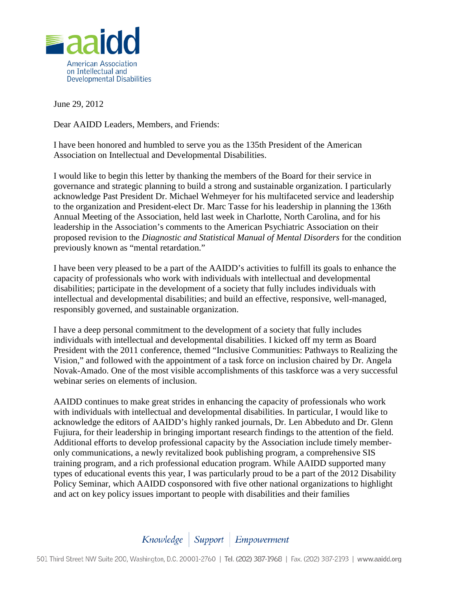

June 29, 2012

Dear AAIDD Leaders, Members, and Friends:

I have been honored and humbled to serve you as the 135th President of the American Association on Intellectual and Developmental Disabilities.

I would like to begin this letter by thanking the members of the Board for their service in governance and strategic planning to build a strong and sustainable organization. I particularly acknowledge Past President Dr. Michael Wehmeyer for his multifaceted service and leadership to the organization and President-elect Dr. Marc Tasse for his leadership in planning the 136th Annual Meeting of the Association, held last week in Charlotte, North Carolina, and for his leadership in the Association's comments to the American Psychiatric Association on their proposed revision to the *Diagnostic and Statistical Manual of Mental Disorders* for the condition previously known as "mental retardation."

I have been very pleased to be a part of the AAIDD's activities to fulfill its goals to enhance the capacity of professionals who work with individuals with intellectual and developmental disabilities; participate in the development of a society that fully includes individuals with intellectual and developmental disabilities; and build an effective, responsive, well-managed, responsibly governed, and sustainable organization.

I have a deep personal commitment to the development of a society that fully includes individuals with intellectual and developmental disabilities. I kicked off my term as Board President with the 2011 conference, themed "Inclusive Communities: Pathways to Realizing the Vision," and followed with the appointment of a task force on inclusion chaired by Dr. Angela Novak-Amado. One of the most visible accomplishments of this taskforce was a very successful webinar series on elements of inclusion.

AAIDD continues to make great strides in enhancing the capacity of professionals who work with individuals with intellectual and developmental disabilities. In particular, I would like to acknowledge the editors of AAIDD's highly ranked journals, Dr. Len Abbeduto and Dr. Glenn Fujiura, for their leadership in bringing important research findings to the attention of the field. Additional efforts to develop professional capacity by the Association include timely memberonly communications, a newly revitalized book publishing program, a comprehensive SIS training program, and a rich professional education program. While AAIDD supported many types of educational events this year, I was particularly proud to be a part of the 2012 Disability Policy Seminar, which AAIDD cosponsored with five other national organizations to highlight and act on key policy issues important to people with disabilities and their families

## Knowledge | Support | Empowerment